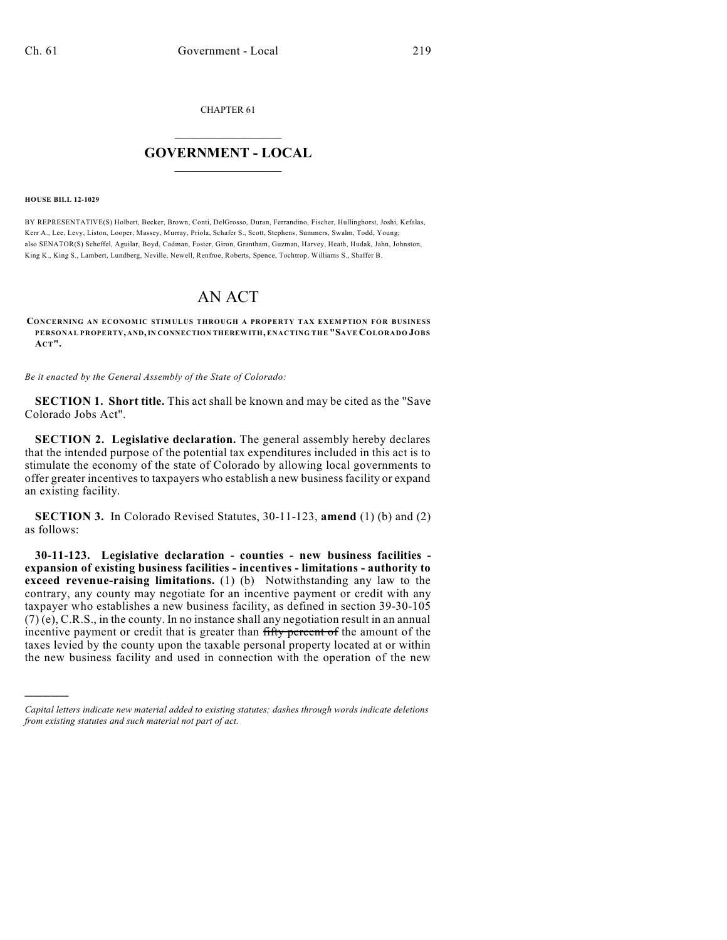CHAPTER 61

## $\mathcal{L}_\text{max}$  . The set of the set of the set of the set of the set of the set of the set of the set of the set of the set of the set of the set of the set of the set of the set of the set of the set of the set of the set **GOVERNMENT - LOCAL**  $\_$

**HOUSE BILL 12-1029**

)))))

BY REPRESENTATIVE(S) Holbert, Becker, Brown, Conti, DelGrosso, Duran, Ferrandino, Fischer, Hullinghorst, Joshi, Kefalas, Kerr A., Lee, Levy, Liston, Looper, Massey, Murray, Priola, Schafer S., Scott, Stephens, Summers, Swalm, Todd, Young; also SENATOR(S) Scheffel, Aguilar, Boyd, Cadman, Foster, Giron, Grantham, Guzman, Harvey, Heath, Hudak, Jahn, Johnston, King K., King S., Lambert, Lundberg, Neville, Newell, Renfroe, Roberts, Spence, Tochtrop, Williams S., Shaffer B.

## AN ACT

**CONCERNING AN ECONOMIC STIMULUS THROUGH A PROPERTY TAX EXEMPTION FOR BUSINESS PERSONAL PROPERTY, AND,IN CONNECTION THEREWITH, ENACTING THE "SAVE COLORADO JOBS ACT".**

*Be it enacted by the General Assembly of the State of Colorado:*

**SECTION 1. Short title.** This act shall be known and may be cited as the "Save Colorado Jobs Act".

**SECTION 2. Legislative declaration.** The general assembly hereby declares that the intended purpose of the potential tax expenditures included in this act is to stimulate the economy of the state of Colorado by allowing local governments to offer greater incentives to taxpayers who establish a new businessfacility or expand an existing facility.

**SECTION 3.** In Colorado Revised Statutes, 30-11-123, **amend** (1) (b) and (2) as follows:

**30-11-123. Legislative declaration - counties - new business facilities expansion of existing business facilities - incentives - limitations - authority to exceed revenue-raising limitations.** (1) (b) Notwithstanding any law to the contrary, any county may negotiate for an incentive payment or credit with any taxpayer who establishes a new business facility, as defined in section 39-30-105 (7) (e), C.R.S., in the county. In no instance shall any negotiation result in an annual incentive payment or credit that is greater than fifty percent of the amount of the taxes levied by the county upon the taxable personal property located at or within the new business facility and used in connection with the operation of the new

*Capital letters indicate new material added to existing statutes; dashes through words indicate deletions from existing statutes and such material not part of act.*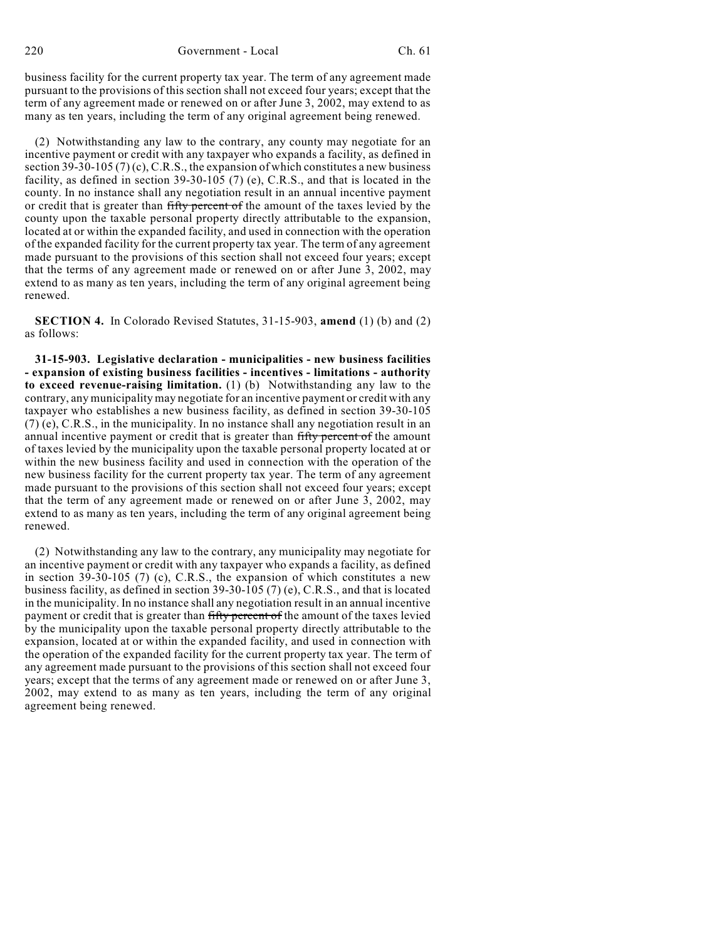business facility for the current property tax year. The term of any agreement made pursuant to the provisions of this section shall not exceed four years; except that the term of any agreement made or renewed on or after June 3, 2002, may extend to as many as ten years, including the term of any original agreement being renewed.

(2) Notwithstanding any law to the contrary, any county may negotiate for an incentive payment or credit with any taxpayer who expands a facility, as defined in section 39-30-105 (7) (c), C.R.S., the expansion of which constitutes a new business facility, as defined in section 39-30-105 (7) (e), C.R.S., and that is located in the county. In no instance shall any negotiation result in an annual incentive payment or credit that is greater than fifty percent of the amount of the taxes levied by the county upon the taxable personal property directly attributable to the expansion, located at or within the expanded facility, and used in connection with the operation of the expanded facility for the current property tax year. The term of any agreement made pursuant to the provisions of this section shall not exceed four years; except that the terms of any agreement made or renewed on or after June 3, 2002, may extend to as many as ten years, including the term of any original agreement being renewed.

**SECTION 4.** In Colorado Revised Statutes, 31-15-903, **amend** (1) (b) and (2) as follows:

**31-15-903. Legislative declaration - municipalities - new business facilities - expansion of existing business facilities - incentives - limitations - authority to exceed revenue-raising limitation.** (1) (b) Notwithstanding any law to the contrary, any municipality may negotiate for an incentive payment or credit with any taxpayer who establishes a new business facility, as defined in section 39-30-105 (7) (e), C.R.S., in the municipality. In no instance shall any negotiation result in an annual incentive payment or credit that is greater than fifty percent of the amount of taxes levied by the municipality upon the taxable personal property located at or within the new business facility and used in connection with the operation of the new business facility for the current property tax year. The term of any agreement made pursuant to the provisions of this section shall not exceed four years; except that the term of any agreement made or renewed on or after June 3, 2002, may extend to as many as ten years, including the term of any original agreement being renewed.

(2) Notwithstanding any law to the contrary, any municipality may negotiate for an incentive payment or credit with any taxpayer who expands a facility, as defined in section 39-30-105 (7) (c), C.R.S., the expansion of which constitutes a new business facility, as defined in section 39-30-105 (7) (e), C.R.S., and that is located in the municipality. In no instance shall any negotiation result in an annual incentive payment or credit that is greater than fifty percent of the amount of the taxes levied by the municipality upon the taxable personal property directly attributable to the expansion, located at or within the expanded facility, and used in connection with the operation of the expanded facility for the current property tax year. The term of any agreement made pursuant to the provisions of this section shall not exceed four years; except that the terms of any agreement made or renewed on or after June 3, 2002, may extend to as many as ten years, including the term of any original agreement being renewed.